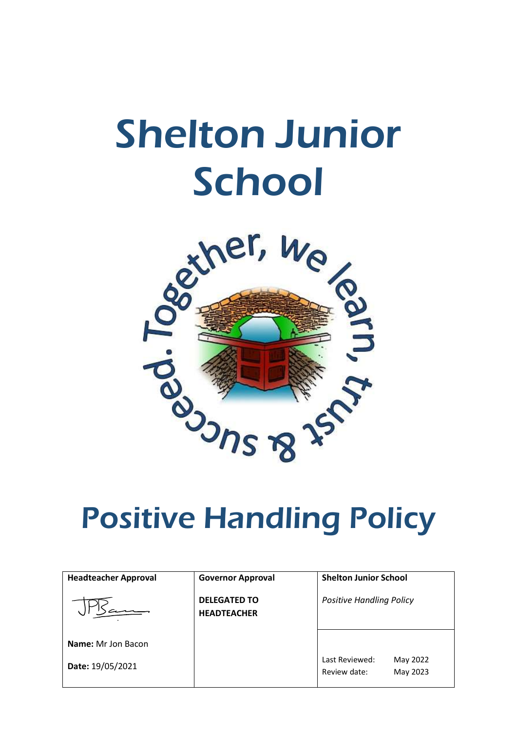# Shelton Junior **School**



# Positive Handling Policy

| <b>Headteacher Approval</b> | <b>Governor Approval</b>                  | <b>Shelton Junior School</b>    |
|-----------------------------|-------------------------------------------|---------------------------------|
|                             | <b>DELEGATED TO</b><br><b>HEADTEACHER</b> | <b>Positive Handling Policy</b> |
| <b>Name:</b> Mr Jon Bacon   |                                           | Last Reviewed:<br>May 2022      |
| Date: 19/05/2021            |                                           | Review date:<br>May 2023        |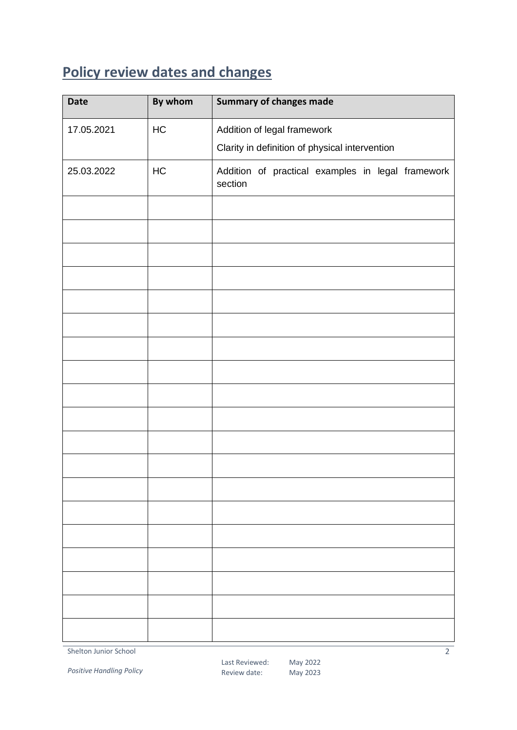### <span id="page-1-0"></span>**Policy review dates and changes**

| <b>Date</b> | By whom | <b>Summary of changes made</b>                               |
|-------------|---------|--------------------------------------------------------------|
| 17.05.2021  | HC      | Addition of legal framework                                  |
|             |         | Clarity in definition of physical intervention               |
| 25.03.2022  | HC      | Addition of practical examples in legal framework<br>section |
|             |         |                                                              |
|             |         |                                                              |
|             |         |                                                              |
|             |         |                                                              |
|             |         |                                                              |
|             |         |                                                              |
|             |         |                                                              |
|             |         |                                                              |
|             |         |                                                              |
|             |         |                                                              |
|             |         |                                                              |
|             |         |                                                              |
|             |         |                                                              |
|             |         |                                                              |
|             |         |                                                              |
|             |         |                                                              |
|             |         |                                                              |
|             |         |                                                              |
|             |         |                                                              |

Shelton Junior School

*Positive Handling Policy*

 $\overline{2}$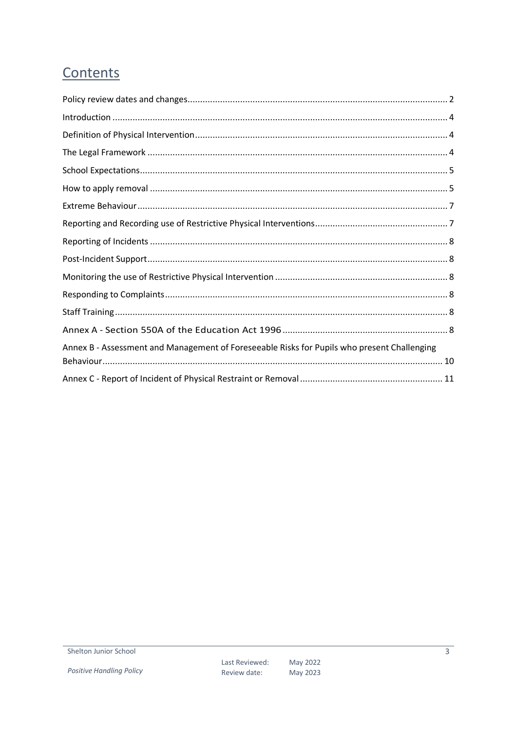#### Contents

| Annex B - Assessment and Management of Foreseeable Risks for Pupils who present Challenging |  |
|---------------------------------------------------------------------------------------------|--|
|                                                                                             |  |
|                                                                                             |  |

 $\overline{3}$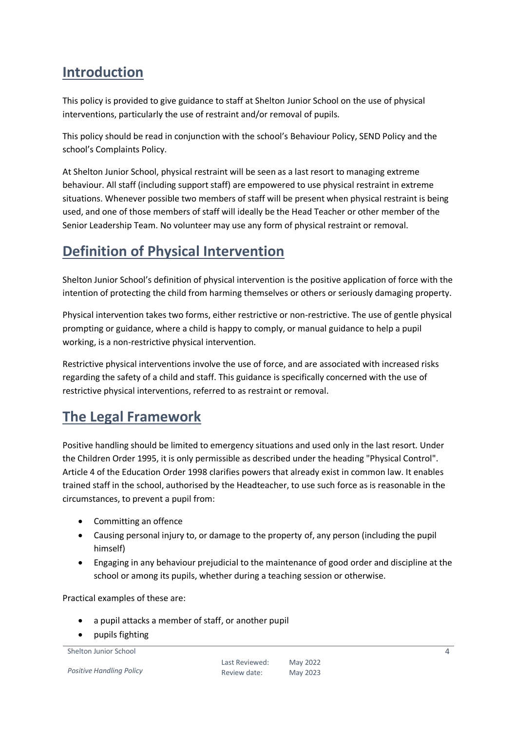#### <span id="page-3-0"></span>**Introduction**

This policy is provided to give guidance to staff at Shelton Junior School on the use of physical interventions, particularly the use of restraint and/or removal of pupils.

This policy should be read in conjunction with the school's Behaviour Policy, SEND Policy and the school's Complaints Policy.

At Shelton Junior School, physical restraint will be seen as a last resort to managing extreme behaviour. All staff (including support staff) are empowered to use physical restraint in extreme situations. Whenever possible two members of staff will be present when physical restraint is being used, and one of those members of staff will ideally be the Head Teacher or other member of the Senior Leadership Team. No volunteer may use any form of physical restraint or removal.

#### <span id="page-3-1"></span>**Definition of Physical Intervention**

Shelton Junior School's definition of physical intervention is the positive application of force with the intention of protecting the child from harming themselves or others or seriously damaging property.

Physical intervention takes two forms, either restrictive or non-restrictive. The use of gentle physical prompting or guidance, where a child is happy to comply, or manual guidance to help a pupil working, is a non-restrictive physical intervention.

Restrictive physical interventions involve the use of force, and are associated with increased risks regarding the safety of a child and staff. This guidance is specifically concerned with the use of restrictive physical interventions, referred to as restraint or removal.

#### <span id="page-3-2"></span>**The Legal Framework**

Positive handling should be limited to emergency situations and used only in the last resort. Under the Children Order 1995, it is only permissible as described under the heading "Physical Control". Article 4 of the Education Order 1998 clarifies powers that already exist in common law. It enables trained staff in the school, authorised by the Headteacher, to use such force as is reasonable in the circumstances, to prevent a pupil from:

- Committing an offence
- Causing personal injury to, or damage to the property of, any person (including the pupil himself)
- Engaging in any behaviour prejudicial to the maintenance of good order and discipline at the school or among its pupils, whether during a teaching session or otherwise.

Practical examples of these are:

- a pupil attacks a member of staff, or another pupil
- pupils fighting

```
Shelton Junior School
```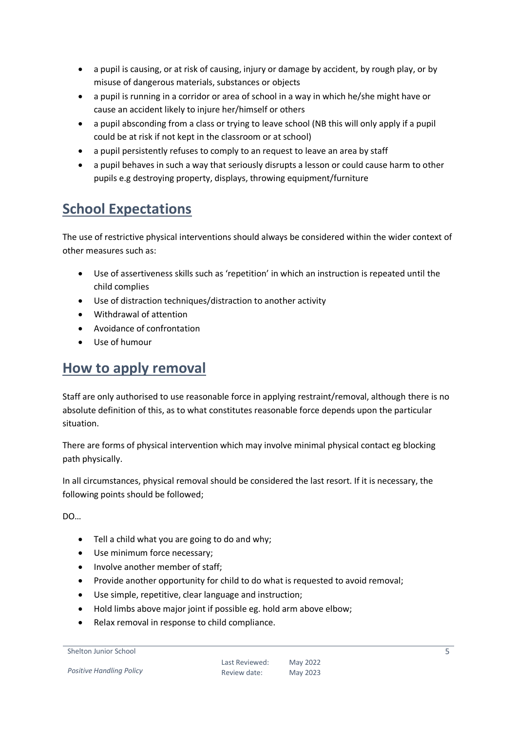- a pupil is causing, or at risk of causing, injury or damage by accident, by rough play, or by misuse of dangerous materials, substances or objects
- a pupil is running in a corridor or area of school in a way in which he/she might have or cause an accident likely to injure her/himself or others
- a pupil absconding from a class or trying to leave school (NB this will only apply if a pupil could be at risk if not kept in the classroom or at school)
- a pupil persistently refuses to comply to an request to leave an area by staff
- a pupil behaves in such a way that seriously disrupts a lesson or could cause harm to other pupils e.g destroying property, displays, throwing equipment/furniture

#### <span id="page-4-0"></span>**School Expectations**

The use of restrictive physical interventions should always be considered within the wider context of other measures such as:

- Use of assertiveness skills such as 'repetition' in which an instruction is repeated until the child complies
- Use of distraction techniques/distraction to another activity
- Withdrawal of attention
- Avoidance of confrontation
- Use of humour

#### <span id="page-4-1"></span>**How to apply removal**

Staff are only authorised to use reasonable force in applying restraint/removal, although there is no absolute definition of this, as to what constitutes reasonable force depends upon the particular situation.

There are forms of physical intervention which may involve minimal physical contact eg blocking path physically.

In all circumstances, physical removal should be considered the last resort. If it is necessary, the following points should be followed;

DO…

- Tell a child what you are going to do and why;
- Use minimum force necessary;
- Involve another member of staff;
- Provide another opportunity for child to do what is requested to avoid removal;
- Use simple, repetitive, clear language and instruction;
- Hold limbs above major joint if possible eg. hold arm above elbow;
- Relax removal in response to child compliance.

Shelton Junior School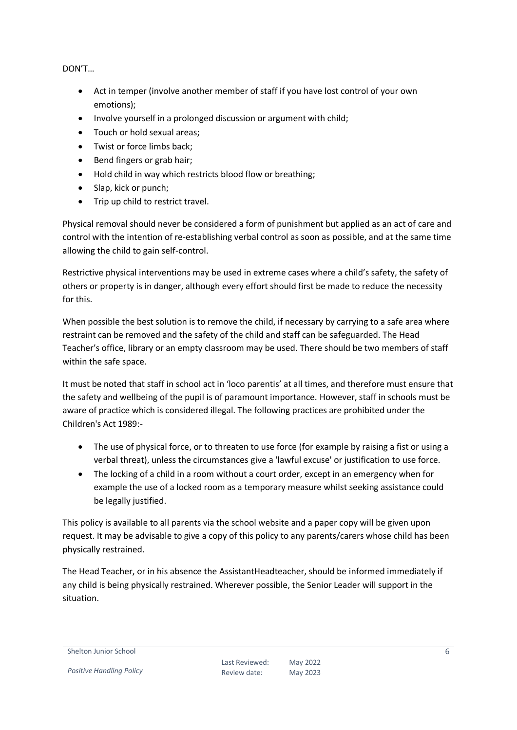DON'T…

- Act in temper (involve another member of staff if you have lost control of your own emotions);
- Involve yourself in a prolonged discussion or argument with child;
- Touch or hold sexual areas:
- Twist or force limbs back;
- Bend fingers or grab hair;
- Hold child in way which restricts blood flow or breathing;
- Slap, kick or punch;
- Trip up child to restrict travel.

Physical removal should never be considered a form of punishment but applied as an act of care and control with the intention of re-establishing verbal control as soon as possible, and at the same time allowing the child to gain self-control.

Restrictive physical interventions may be used in extreme cases where a child's safety, the safety of others or property is in danger, although every effort should first be made to reduce the necessity for this.

When possible the best solution is to remove the child, if necessary by carrying to a safe area where restraint can be removed and the safety of the child and staff can be safeguarded. The Head Teacher's office, library or an empty classroom may be used. There should be two members of staff within the safe space.

It must be noted that staff in school act in 'loco parentis' at all times, and therefore must ensure that the safety and wellbeing of the pupil is of paramount importance. However, staff in schools must be aware of practice which is considered illegal. The following practices are prohibited under the Children's Act 1989:-

- The use of physical force, or to threaten to use force (for example by raising a fist or using a verbal threat), unless the circumstances give a 'lawful excuse' or justification to use force.
- The locking of a child in a room without a court order, except in an emergency when for example the use of a locked room as a temporary measure whilst seeking assistance could be legally justified.

This policy is available to all parents via the school website and a paper copy will be given upon request. It may be advisable to give a copy of this policy to any parents/carers whose child has been physically restrained.

The Head Teacher, or in his absence the AssistantHeadteacher, should be informed immediately if any child is being physically restrained. Wherever possible, the Senior Leader will support in the situation.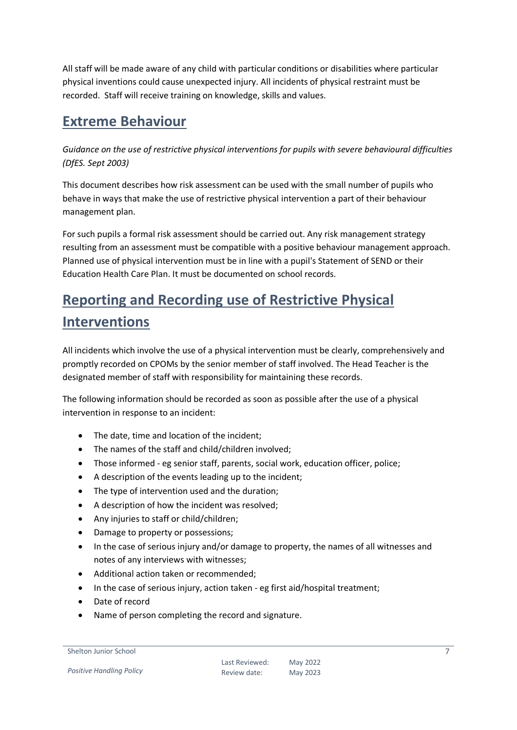All staff will be made aware of any child with particular conditions or disabilities where particular physical inventions could cause unexpected injury. All incidents of physical restraint must be recorded. Staff will receive training on knowledge, skills and values.

#### <span id="page-6-0"></span>**Extreme Behaviour**

*Guidance on the use of restrictive physical interventions for pupils with severe behavioural difficulties (DfES. Sept 2003)*

This document describes how risk assessment can be used with the small number of pupils who behave in ways that make the use of restrictive physical intervention a part of their behaviour management plan.

For such pupils a formal risk assessment should be carried out. Any risk management strategy resulting from an assessment must be compatible with a positive behaviour management approach. Planned use of physical intervention must be in line with a pupil's Statement of SEND or their Education Health Care Plan. It must be documented on school records.

# <span id="page-6-1"></span>**Reporting and Recording use of Restrictive Physical Interventions**

All incidents which involve the use of a physical intervention must be clearly, comprehensively and promptly recorded on CPOMs by the senior member of staff involved. The Head Teacher is the designated member of staff with responsibility for maintaining these records.

The following information should be recorded as soon as possible after the use of a physical intervention in response to an incident:

- The date, time and location of the incident;
- The names of the staff and child/children involved;
- Those informed eg senior staff, parents, social work, education officer, police;
- A description of the events leading up to the incident;
- The type of intervention used and the duration;
- A description of how the incident was resolved;
- Any injuries to staff or child/children;
- Damage to property or possessions;
- In the case of serious injury and/or damage to property, the names of all witnesses and notes of any interviews with witnesses;
- Additional action taken or recommended;
- In the case of serious injury, action taken eg first aid/hospital treatment;
- Date of record
- Name of person completing the record and signature.

```
Shelton Junior School
```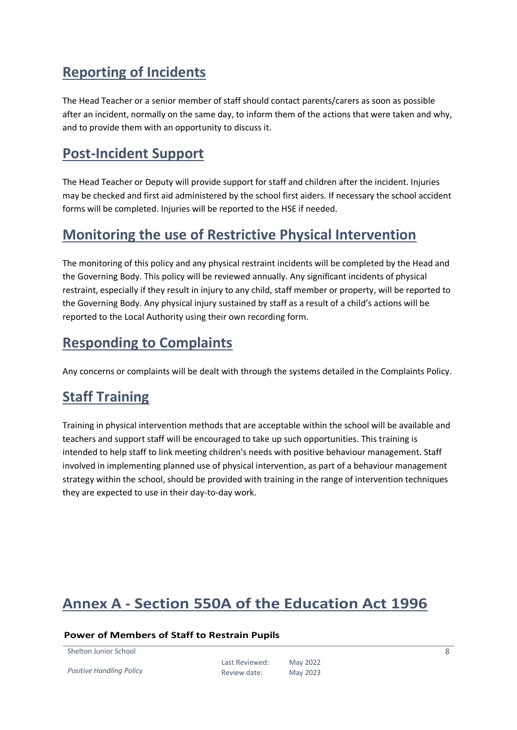#### <span id="page-7-0"></span>**Reporting of Incidents**

The Head Teacher or a senior member of staff should contact parents/carers as soon as possible after an incident, normally on the same day, to inform them of the actions that were taken and why, and to provide them with an opportunity to discuss it.

#### <span id="page-7-1"></span>**Post-Incident Support**

The Head Teacher or Deputy will provide support for staff and children after the incident. Injuries may be checked and first aid administered by the school first aiders. If necessary the school accident forms will be completed. Injuries will be reported to the HSE if needed.

#### <span id="page-7-2"></span>**Monitoring the use of Restrictive Physical Intervention**

The monitoring of this policy and any physical restraint incidents will be completed by the Head and the Governing Body. This policy will be reviewed annually. Any significant incidents of physical restraint, especially if they result in injury to any child, staff member or property, will be reported to the Governing Body. Any physical injury sustained by staff as a result of a child's actions will be reported to the Local Authority using their own recording form.

#### <span id="page-7-3"></span>**Responding to Complaints**

Any concerns or complaints will be dealt with through the systems detailed in the Complaints Policy.

#### <span id="page-7-4"></span>**Staff Training**

Training in physical intervention methods that are acceptable within the school will be available and teachers and support staff will be encouraged to take up such opportunities. This training is intended to help staff to link meeting children's needs with positive behaviour management. Staff involved in implementing planned use of physical intervention, as part of a behaviour management strategy within the school, should be provided with training in the range of intervention techniques they are expected to use in their day-to-day work.

#### <span id="page-7-5"></span>**Annex A - Section 550A of the Education Act 1996**

#### **Power of Members of Staff to Restrain Pupils**

Shelton Junior School

*Positive Handling Policy*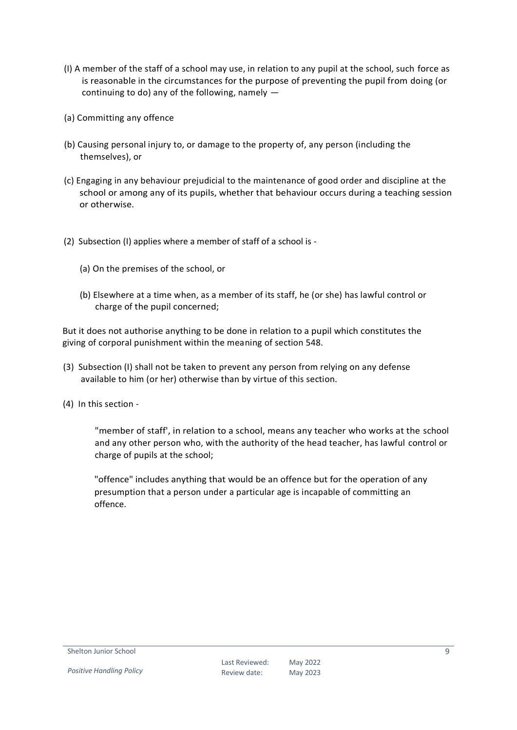- (I) A member of the staff of a school may use, in relation to any pupil at the school, such force as is reasonable in the circumstances for the purpose of preventing the pupil from doing (or continuing to do) any of the following, namely —
- (a) Committing any offence
- (b) Causing personal injury to, or damage to the property of, any person (including the themselves), or
- (c) Engaging in any behaviour prejudicial to the maintenance of good order and discipline at the school or among any of its pupils, whether that behaviour occurs during a teaching session or otherwise.
- (2) Subsection (I) applies where a member of staff of a school is
	- (a) On the premises of the school, or
	- (b) Elsewhere at a time when, as a member of its staff, he (or she) has lawful control or charge of the pupil concerned;

But it does not authorise anything to be done in relation to a pupil which constitutes the giving of corporal punishment within the meaning of section 548.

- (3) Subsection (I) shall not be taken to prevent any person from relying on any defense available to him (or her) otherwise than by virtue of this section.
- (4) In this section -

"member of staff', in relation to a school, means any teacher who works at the school and any other person who, with the authority of the head teacher, has lawful control or charge of pupils at the school;

"offence" includes anything that would be an offence but for the operation of any presumption that a person under a particular age is incapable of committing an offence.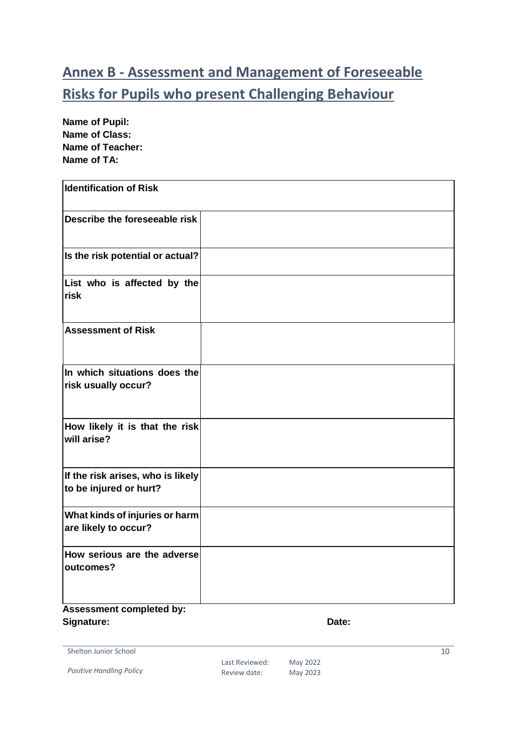# <span id="page-9-0"></span>**Annex B - Assessment and Management of Foreseeable Risks for Pupils who present Challenging Behaviour**

**Name of Pupil: Name of Class: Name of Teacher: Name of TA:** 

| <b>Identification of Risk</b>                                                      |  |
|------------------------------------------------------------------------------------|--|
| Describe the foreseeable risk                                                      |  |
| Is the risk potential or actual?                                                   |  |
| List who is affected by the<br><b>risk</b>                                         |  |
| <b>Assessment of Risk</b>                                                          |  |
| In which situations does the<br>risk usually occur?                                |  |
| How likely it is that the risk<br>will arise?                                      |  |
| If the risk arises, who is likely<br>to be injured or hurt?                        |  |
| What kinds of injuries or harm<br>are likely to occur?                             |  |
| How serious are the adverse<br>outcomes?<br>$\sim 10^{-1}$ and $\sim 10^{-1}$<br>. |  |

#### **Assessment completed by:**  Signature: Date: Date: Date: Date: Date: Date: Date: Date: Date: Date: Date: Date: Date: Date: Date: Date: Date: Date: Date: Date: Date: Date: Date: Date: Date: Date: Date: Date: Date: Date: Date: Date: Date: Date: Date: D

Shelton Junior School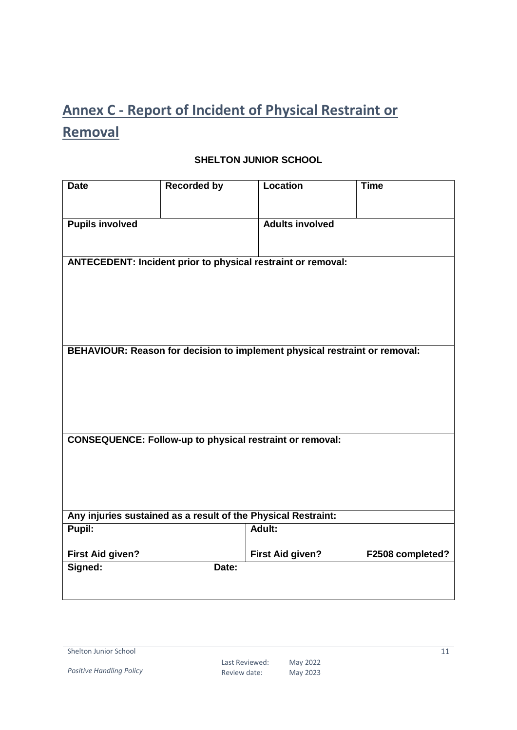# <span id="page-10-0"></span>**Annex C - Report of Incident of Physical Restraint or Removal**

#### **SHELTON JUNIOR SCHOOL**

| <b>Date</b>                                                         | <b>Recorded by</b> | <b>Location</b>                                                            | <b>Time</b>      |
|---------------------------------------------------------------------|--------------------|----------------------------------------------------------------------------|------------------|
| <b>Pupils involved</b>                                              |                    | <b>Adults involved</b>                                                     |                  |
|                                                                     |                    |                                                                            |                  |
| <b>ANTECEDENT: Incident prior to physical restraint or removal:</b> |                    |                                                                            |                  |
|                                                                     |                    |                                                                            |                  |
|                                                                     |                    |                                                                            |                  |
|                                                                     |                    |                                                                            |                  |
|                                                                     |                    | BEHAVIOUR: Reason for decision to implement physical restraint or removal: |                  |
|                                                                     |                    |                                                                            |                  |
|                                                                     |                    |                                                                            |                  |
|                                                                     |                    |                                                                            |                  |
|                                                                     |                    | <b>CONSEQUENCE: Follow-up to physical restraint or removal:</b>            |                  |
|                                                                     |                    |                                                                            |                  |
|                                                                     |                    |                                                                            |                  |
|                                                                     |                    |                                                                            |                  |
| Any injuries sustained as a result of the Physical Restraint:       |                    |                                                                            |                  |
| Pupil:                                                              |                    | Adult:                                                                     |                  |
| <b>First Aid given?</b>                                             |                    | <b>First Aid given?</b>                                                    | F2508 completed? |
| Signed:                                                             | Date:              |                                                                            |                  |
|                                                                     |                    |                                                                            |                  |